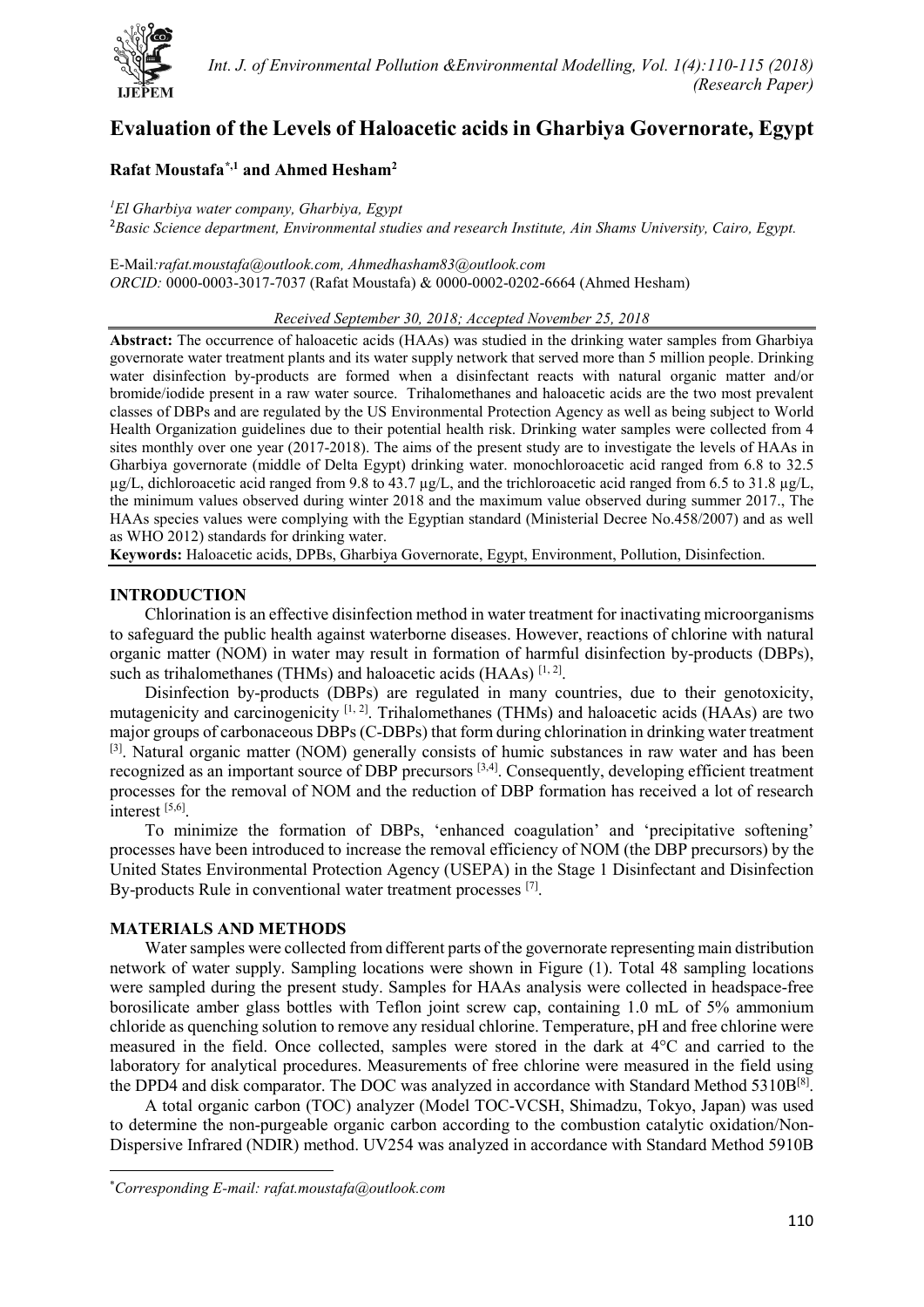

# **Evaluation of the Levels of Haloacetic acids in Gharbiya Governorate, Egypt**

## **Rafat Moustafa[\\*](#page-0-0),1 and Ahmed Hesham2**

*1 El Gharbiya water company, Gharbiya, Egypt* 2 *Basic Science department, Environmental studies and research Institute, Ain Shams University, Cairo, Egypt.*

E-Mail*[:rafat.moustafa@outlook.com,](mailto:rafat.moustafa@outlook.com) [Ahmedhasham83@outlook.com](mailto:Ahmedhasham83@outlook.com) ORCID:* [0000-0003-3017-7037](http://orcid.org/0000-0002-0202-6664) (Rafat Moustafa) & [0000-0002-0202-6664](http://orcid.org/0000-0002-0202-6664) (Ahmed Hesham)

#### *Received September 30, 2018; Accepted November 25, 2018*

**Abstract:** The occurrence of haloacetic acids (HAAs) was studied in the drinking water samples from Gharbiya governorate water treatment plants and its water supply network that served more than 5 million people. Drinking water disinfection by-products are formed when a disinfectant reacts with natural organic matter and/or bromide/iodide present in a raw water source. Trihalomethanes and haloacetic acids are the two most prevalent classes of DBPs and are regulated by the US Environmental Protection Agency as well as being subject to World Health Organization guidelines due to their potential health risk. Drinking water samples were collected from 4 sites monthly over one year (2017-2018). The aims of the present study are to investigate the levels of HAAs in Gharbiya governorate (middle of Delta Egypt) drinking water. monochloroacetic acid ranged from 6.8 to 32.5  $\mu$ g/L, dichloroacetic acid ranged from 9.8 to 43.7  $\mu$ g/L, and the trichloroacetic acid ranged from 6.5 to 31.8  $\mu$ g/L, the minimum values observed during winter 2018 and the maximum value observed during summer 2017., The HAAs species values were complying with the Egyptian standard (Ministerial Decree No.458/2007) and as well as WHO 2012) standards for drinking water.

**Keywords:** Haloacetic acids, DPBs, Gharbiya Governorate, Egypt, Environment, Pollution, Disinfection.

#### **INTRODUCTION**

Chlorination is an effective disinfection method in water treatment for inactivating microorganisms to safeguard the public health against waterborne diseases. However, reactions of chlorine with natural organic matter (NOM) in water may result in formation of harmful disinfection by-products (DBPs), such as trihalomethanes (THMs) and haloacetic acids (HAAs)  $^{[1, 2]}$ .

Disinfection by-products (DBPs) are regulated in many countries, due to their genotoxicity, mutagenicity and carcinogenicity [1, 2]. Trihalomethanes (THMs) and haloacetic acids (HAAs) are two major groups of carbonaceous DBPs (C-DBPs) that form during chlorination in drinking water treatment [3]. Natural organic matter (NOM) generally consists of humic substances in raw water and has been recognized as an important source of DBP precursors [3,4]. Consequently, developing efficient treatment processes for the removal of NOM and the reduction of DBP formation has received a lot of research interest [5,6].

To minimize the formation of DBPs, 'enhanced coagulation' and 'precipitative softening' processes have been introduced to increase the removal efficiency of NOM (the DBP precursors) by the United States Environmental Protection Agency (USEPA) in the Stage 1 Disinfectant and Disinfection By-products Rule in conventional water treatment processes [7].

#### **MATERIALS AND METHODS**

 $\overline{a}$ 

Water samples were collected from different parts of the governorate representing main distribution network of water supply. Sampling locations were shown in Figure (1). Total 48 sampling locations were sampled during the present study. Samples for HAAs analysis were collected in headspace-free borosilicate amber glass bottles with Teflon joint screw cap, containing 1.0 mL of 5% ammonium chloride as quenching solution to remove any residual chlorine. Temperature, pH and free chlorine were measured in the field. Once collected, samples were stored in the dark at 4°C and carried to the laboratory for analytical procedures. Measurements of free chlorine were measured in the field using the DPD4 and disk comparator. The DOC was analyzed in accordance with Standard Method 5310B<sup>[8]</sup>.

A total organic carbon (TOC) analyzer (Model TOC-VCSH, Shimadzu, Tokyo, Japan) was used to determine the non-purgeable organic carbon according to the combustion catalytic oxidation/Non-Dispersive Infrared (NDIR) method. UV254 was analyzed in accordance with Standard Method 5910B

<span id="page-0-0"></span><sup>\*</sup> *Corresponding E-mail: [rafat.moustafa@outlook.com](mailto:rafat.moustafa@outlook.com)*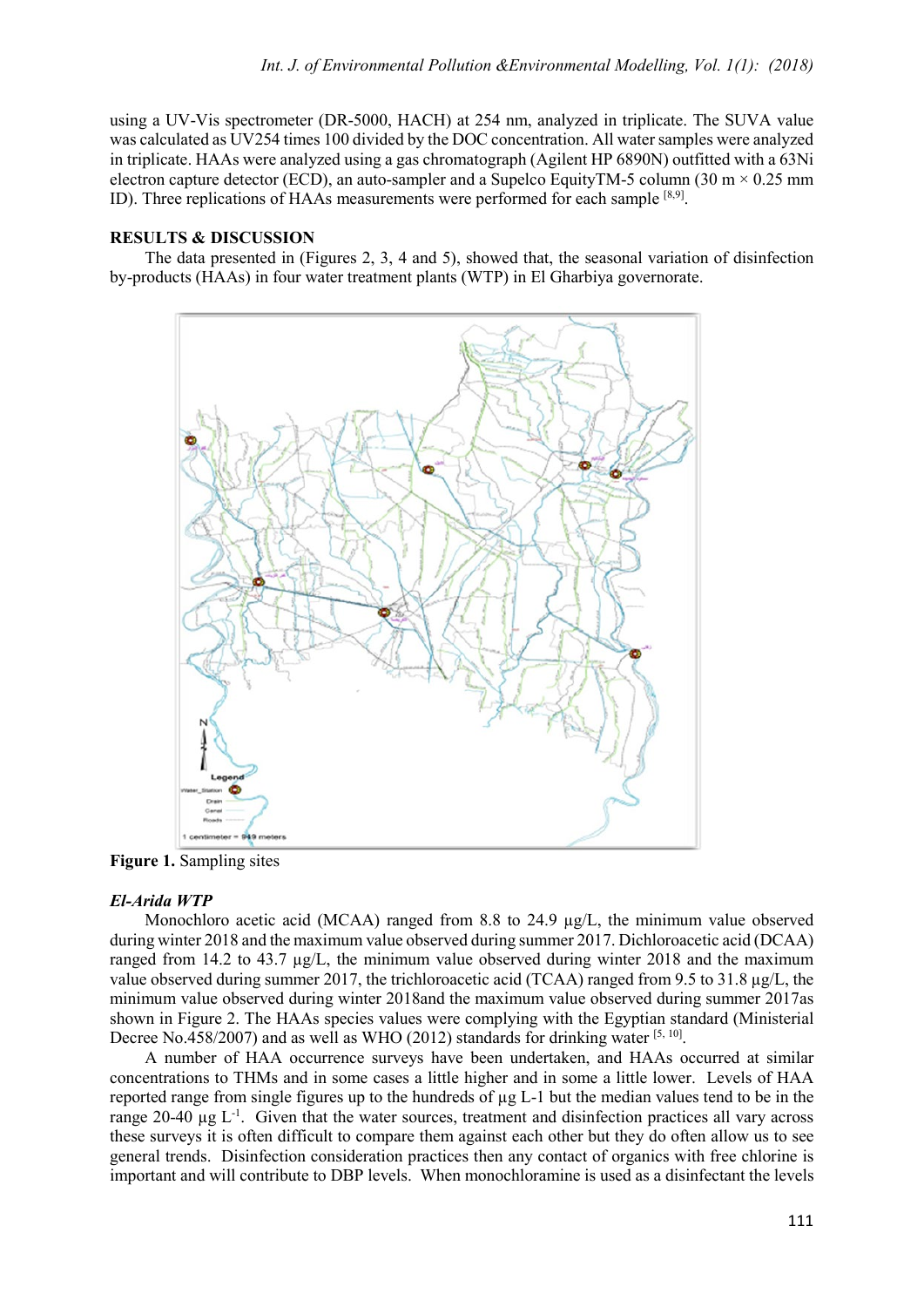using a UV-Vis spectrometer (DR-5000, HACH) at 254 nm, analyzed in triplicate. The SUVA value was calculated as UV254 times 100 divided by the DOC concentration. All water samples were analyzed in triplicate. HAAs were analyzed using a gas chromatograph (Agilent HP 6890N) outfitted with a 63Ni electron capture detector (ECD), an auto-sampler and a Supelco EquityTM-5 column (30 m  $\times$  0.25 mm ID). Three replications of HAAs measurements were performed for each sample [8,9].

## **RESULTS & DISCUSSION**

The data presented in (Figures 2, 3, 4 and 5), showed that, the seasonal variation of disinfection by-products (HAAs) in four water treatment plants (WTP) in El Gharbiya governorate.



**Figure 1.** Sampling sites

#### *El-Arida WTP*

Monochloro acetic acid (MCAA) ranged from 8.8 to 24.9  $\mu$ g/L, the minimum value observed during winter 2018 and the maximum value observed during summer 2017. Dichloroacetic acid (DCAA) ranged from 14.2 to 43.7 µg/L, the minimum value observed during winter 2018 and the maximum value observed during summer 2017, the trichloroacetic acid (TCAA) ranged from 9.5 to 31.8 µg/L, the minimum value observed during winter 2018and the maximum value observed during summer 2017as shown in Figure 2. The HAAs species values were complying with the Egyptian standard (Ministerial Decree No.458/2007) and as well as WHO (2012) standards for drinking water  $[5, 10]$ .

A number of HAA occurrence surveys have been undertaken, and HAAs occurred at similar concentrations to THMs and in some cases a little higher and in some a little lower. Levels of HAA reported range from single figures up to the hundreds of µg L-1 but the median values tend to be in the range  $20-40 \mu g L^{-1}$ . Given that the water sources, treatment and disinfection practices all vary across these surveys it is often difficult to compare them against each other but they do often allow us to see general trends. Disinfection consideration practices then any contact of organics with free chlorine is important and will contribute to DBP levels. When monochloramine is used as a disinfectant the levels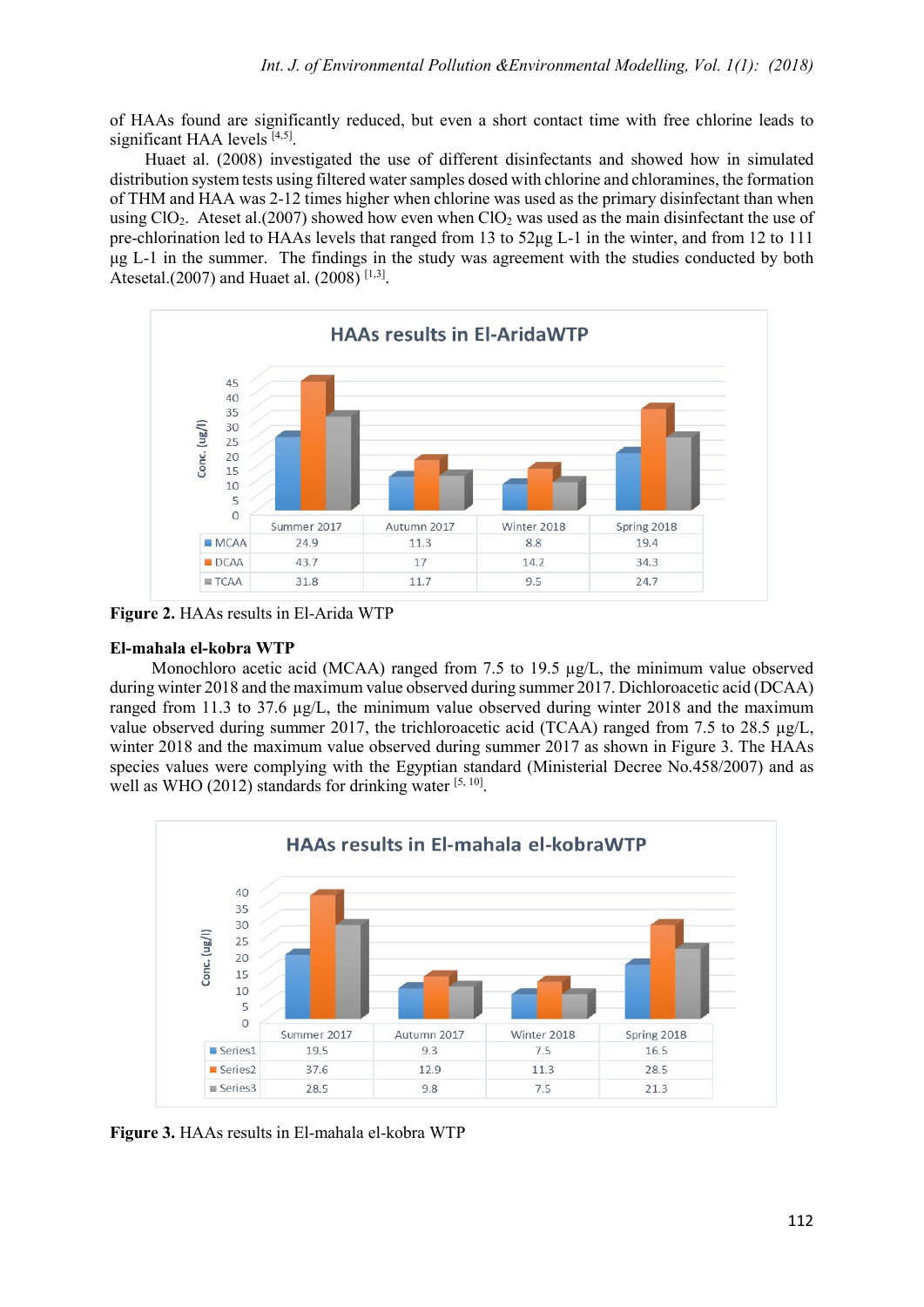of HAAs found are significantly reduced, but even a short contact time with free chlorine leads to significant HAA levels  $[4,5]$ .

Huaet al. (2008) investigated the use of different disinfectants and showed how in simulated distribution system tests using filtered water samples dosed with chlorine and chloramines, the formation of THM and HAA was 2-12 times higher when chlorine was used as the primary disinfectant than when using ClO<sub>2</sub>. Ateset al.(2007) showed how even when ClO<sub>2</sub> was used as the main disinfectant the use of pre-chlorination led to HAAs levels that ranged from 13 to 52μg L-1 in the winter, and from 12 to 111 μg L-1 in the summer. The findings in the study was agreement with the studies conducted by both Atesetal.(2007) and Huaet al. (2008) [1,3].



**Figure 2.** HAAs results in El-Arida WTP

#### **El-mahala el-kobra WTP**

Monochloro acetic acid (MCAA) ranged from 7.5 to 19.5  $\mu$ g/L, the minimum value observed during winter 2018 and the maximum value observed during summer 2017. Dichloroacetic acid (DCAA) ranged from 11.3 to 37.6 µg/L, the minimum value observed during winter 2018 and the maximum value observed during summer 2017, the trichloroacetic acid (TCAA) ranged from 7.5 to 28.5  $\mu$ g/L, winter 2018 and the maximum value observed during summer 2017 as shown in Figure 3. The HAAs species values were complying with the Egyptian standard (Ministerial Decree No.458/2007) and as well as WHO (2012) standards for drinking water  $[5, 10]$ .



**Figure 3.** HAAs results in El-mahala el-kobra WTP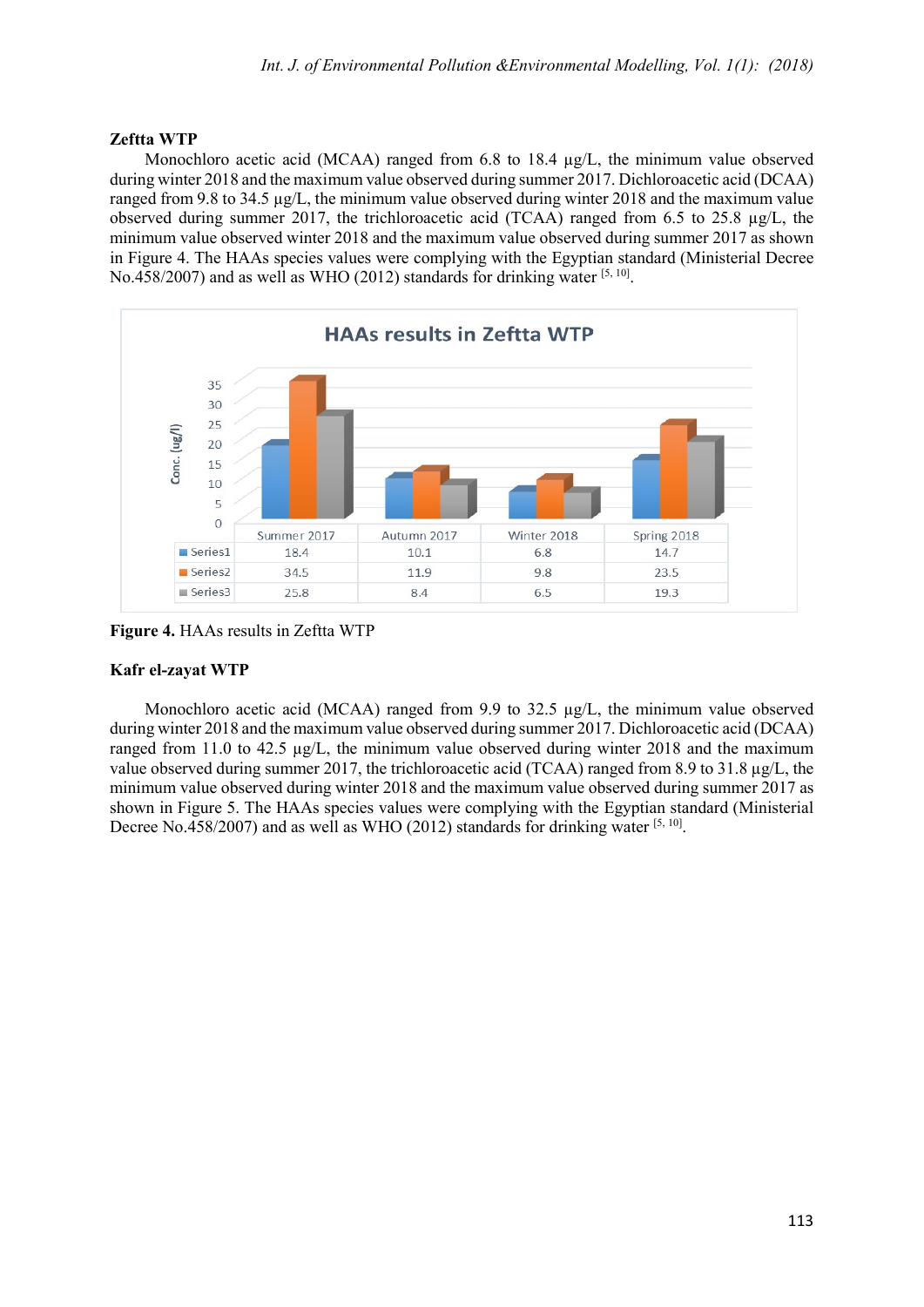#### **Zeftta WTP**

Monochloro acetic acid (MCAA) ranged from 6.8 to 18.4  $\mu$ g/L, the minimum value observed during winter 2018 and the maximum value observed during summer 2017. Dichloroacetic acid (DCAA) ranged from 9.8 to 34.5 µg/L, the minimum value observed during winter 2018 and the maximum value observed during summer 2017, the trichloroacetic acid (TCAA) ranged from 6.5 to 25.8 µg/L, the minimum value observed winter 2018 and the maximum value observed during summer 2017 as shown in Figure 4. The HAAs species values were complying with the Egyptian standard (Ministerial Decree No.458/2007) and as well as WHO (2012) standards for drinking water  $[5, 10]$ .



**Figure 4.** HAAs results in Zeftta WTP

## **Kafr el-zayat WTP**

Monochloro acetic acid (MCAA) ranged from 9.9 to 32.5 µg/L, the minimum value observed during winter 2018 and the maximum value observed during summer 2017. Dichloroacetic acid (DCAA) ranged from 11.0 to 42.5  $\mu$ g/L, the minimum value observed during winter 2018 and the maximum value observed during summer 2017, the trichloroacetic acid (TCAA) ranged from 8.9 to 31.8  $\mu$ g/L, the minimum value observed during winter 2018 and the maximum value observed during summer 2017 as shown in Figure 5. The HAAs species values were complying with the Egyptian standard (Ministerial Decree No.458/2007) and as well as WHO (2012) standards for drinking water  $[5, 10]$ .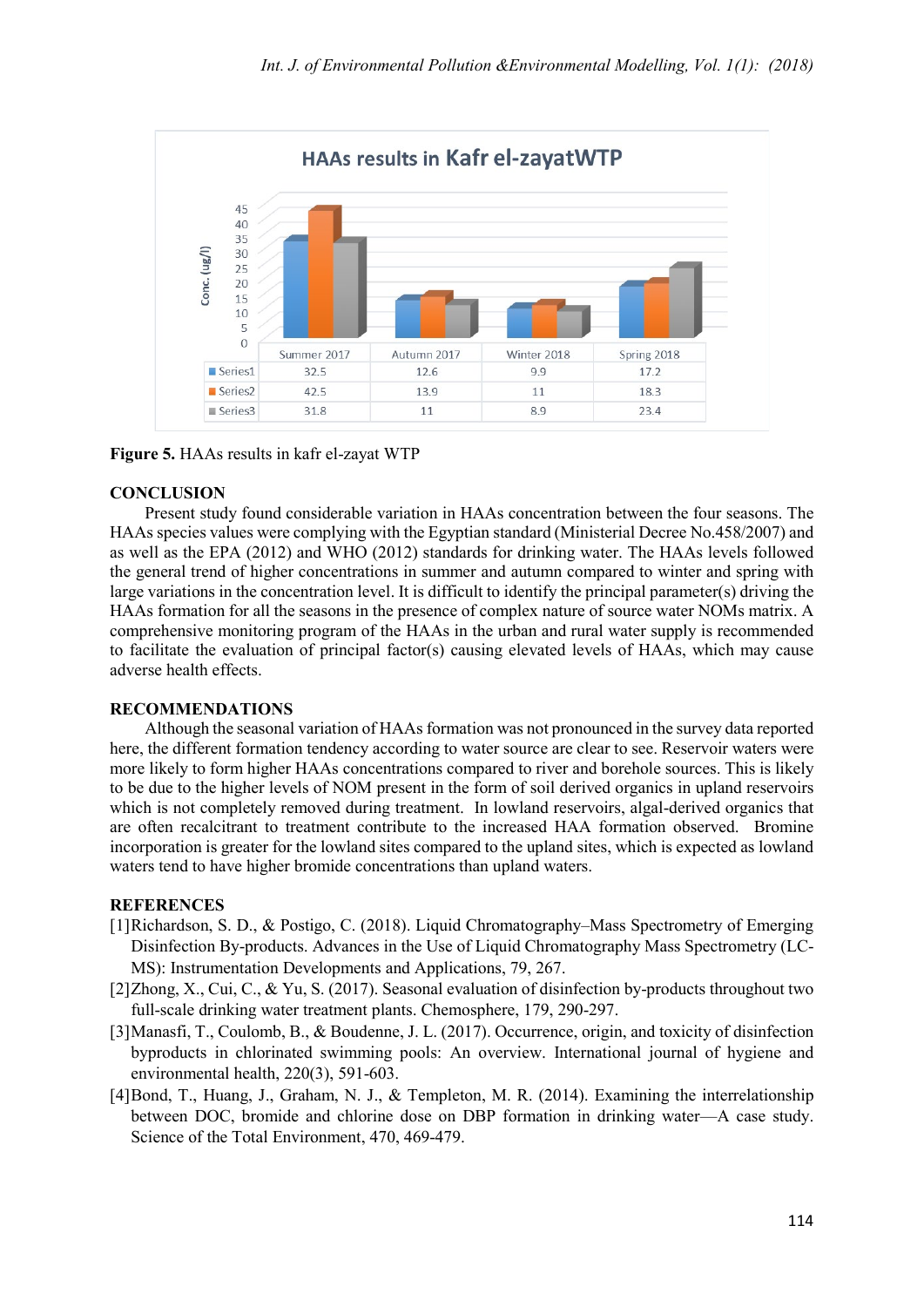

**Figure 5.** HAAs results in kafr el-zayat WTP

## **CONCLUSION**

Present study found considerable variation in HAAs concentration between the four seasons. The HAAs species values were complying with the Egyptian standard (Ministerial Decree No.458/2007) and as well as the EPA (2012) and WHO (2012) standards for drinking water. The HAAs levels followed the general trend of higher concentrations in summer and autumn compared to winter and spring with large variations in the concentration level. It is difficult to identify the principal parameter(s) driving the HAAs formation for all the seasons in the presence of complex nature of source water NOMs matrix. A comprehensive monitoring program of the HAAs in the urban and rural water supply is recommended to facilitate the evaluation of principal factor(s) causing elevated levels of HAAs, which may cause adverse health effects.

#### **RECOMMENDATIONS**

Although the seasonal variation of HAAs formation was not pronounced in the survey data reported here, the different formation tendency according to water source are clear to see. Reservoir waters were more likely to form higher HAAs concentrations compared to river and borehole sources. This is likely to be due to the higher levels of NOM present in the form of soil derived organics in upland reservoirs which is not completely removed during treatment. In lowland reservoirs, algal-derived organics that are often recalcitrant to treatment contribute to the increased HAA formation observed. Bromine incorporation is greater for the lowland sites compared to the upland sites, which is expected as lowland waters tend to have higher bromide concentrations than upland waters.

#### **REFERENCES**

- [1]Richardson, S. D., & Postigo, C. (2018). Liquid Chromatography–Mass Spectrometry of Emerging Disinfection By-products. Advances in the Use of Liquid Chromatography Mass Spectrometry (LC-MS): Instrumentation Developments and Applications, 79, 267.
- [2]Zhong, X., Cui, C., & Yu, S. (2017). Seasonal evaluation of disinfection by-products throughout two full-scale drinking water treatment plants. Chemosphere, 179, 290-297.
- [3]Manasfi, T., Coulomb, B., & Boudenne, J. L. (2017). Occurrence, origin, and toxicity of disinfection byproducts in chlorinated swimming pools: An overview. International journal of hygiene and environmental health, 220(3), 591-603.
- [4]Bond, T., Huang, J., Graham, N. J., & Templeton, M. R. (2014). Examining the interrelationship between DOC, bromide and chlorine dose on DBP formation in drinking water—A case study. Science of the Total Environment, 470, 469-479.